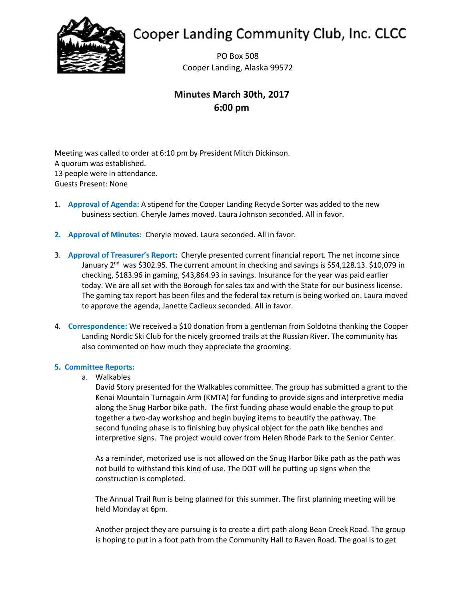

# **Cooper Landing Community Club, Inc. CLCC**

PO Box 508 Cooper Landing, Alaska 99572

## **Minutes March 30th, 2017 6:00 pm**

Meeting was called to order at 6:10 pm by President Mitch Dickinson. A quorum was established. 13 people were in attendance. Guests Present: None

- 1. **Approval of Agenda:** A stipend for the Cooper Landing Recycle Sorter was added to the new business section. Cheryle James moved. Laura Johnson seconded. All in favor.
- **2. Approval of Minutes:** Cheryle moved. Laura seconded. All in favor.
- 3. **Approval of Treasurer's Report:** Cheryle presented current financial report. The net income since January 2<sup>nd</sup> was \$302.95. The current amount in checking and savings is \$54,128.13. \$10,079 in checking, \$183.96 in gaming, \$43,864.93 in savings. Insurance for the year was paid earlier today. We are all set with the Borough for sales tax and with the State for our business license. The gaming tax report has been files and the federal tax return is being worked on. Laura moved to approve the agenda, Janette Cadieux seconded. All in favor.
- 4. **Correspondence:** We received a \$10 donation from a gentleman from Soldotna thanking the Cooper Landing Nordic Ski Club for the nicely groomed trails at the Russian River. The community has also commented on how much they appreciate the grooming.

### **5. Committee Reports:**

a. Walkables

David Story presented for the Walkables committee. The group has submitted a grant to the Kenai Mountain Turnagain Arm (KMTA) for funding to provide signs and interpretive media along the Snug Harbor bike path. The first funding phase would enable the group to put together a two-day workshop and begin buying items to beautify the pathway. The second funding phase is to finishing buy physical object for the path like benches and interpretive signs. The project would cover from Helen Rhode Park to the Senior Center.

As a reminder, motorized use is not allowed on the Snug Harbor Bike path as the path was not build to withstand this kind of use. The DOT will be putting up signs when the construction is completed.

The Annual Trail Run is being planned for this summer. The first planning meeting will be held Monday at 6pm.

Another project they are pursuing is to create a dirt path along Bean Creek Road. The group is hoping to put in a foot path from the Community Hall to Raven Road. The goal is to get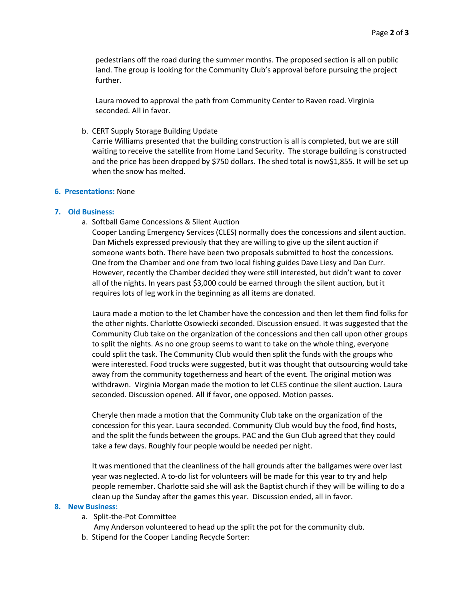pedestrians off the road during the summer months. The proposed section is all on public land. The group is looking for the Community Club's approval before pursuing the project further.

Laura moved to approval the path from Community Center to Raven road. Virginia seconded. All in favor.

b. CERT Supply Storage Building Update

Carrie Williams presented that the building construction is all is completed, but we are still waiting to receive the satellite from Home Land Security. The storage building is constructed and the price has been dropped by \$750 dollars. The shed total is now\$1,855. It will be set up when the snow has melted.

#### **6. Presentations:** None

#### **7. Old Business:**

a. Softball Game Concessions & Silent Auction

Cooper Landing Emergency Services (CLES) normally does the concessions and silent auction. Dan Michels expressed previously that they are willing to give up the silent auction if someone wants both. There have been two proposals submitted to host the concessions. One from the Chamber and one from two local fishing guides Dave Liesy and Dan Curr. However, recently the Chamber decided they were still interested, but didn't want to cover all of the nights. In years past \$3,000 could be earned through the silent auction, but it requires lots of leg work in the beginning as all items are donated.

Laura made a motion to the let Chamber have the concession and then let them find folks for the other nights. Charlotte Osowiecki seconded. Discussion ensued. It was suggested that the Community Club take on the organization of the concessions and then call upon other groups to split the nights. As no one group seems to want to take on the whole thing, everyone could split the task. The Community Club would then split the funds with the groups who were interested. Food trucks were suggested, but it was thought that outsourcing would take away from the community togetherness and heart of the event. The original motion was withdrawn. Virginia Morgan made the motion to let CLES continue the silent auction. Laura seconded. Discussion opened. All if favor, one opposed. Motion passes.

Cheryle then made a motion that the Community Club take on the organization of the concession for this year. Laura seconded. Community Club would buy the food, find hosts, and the split the funds between the groups. PAC and the Gun Club agreed that they could take a few days. Roughly four people would be needed per night.

It was mentioned that the cleanliness of the hall grounds after the ballgames were over last year was neglected. A to-do list for volunteers will be made for this year to try and help people remember. Charlotte said she will ask the Baptist church if they will be willing to do a clean up the Sunday after the games this year. Discussion ended, all in favor.

#### **8. New Business:**

- a. Split-the-Pot Committee
	- Amy Anderson volunteered to head up the split the pot for the community club.
- b. Stipend for the Cooper Landing Recycle Sorter: